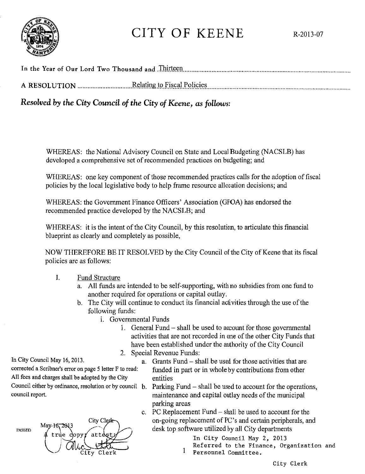

## CITY OF KEENE R-2013-07

*Resolved by the City Council of the City of Keene, as follows:* 

WHEREAS: the National Advisory Council on State and Loca!Budgeting (NACSLB) has developed a comprehensive set of recommended practices on budgeting; and

WHEREAS: one key component of those recommended practices calls for the adoption of fiscal policies by the local legislative body to help frame resource allocation decisions; and

WHEREAS: the Government Finance Officers' Association (GFOA) has endorsed the recommended practice developed by the NACSLB; and

WHEREAS: it is the intent of the City Council, by this resolution, to articulate this financial blueprint as clearly and completely as possible,

NOW THEREFORE BE IT RESOLVED by the City Council of the City of Keene that its fiscal policies are as follows:

- I. Fund Structure
	- a. All funds are intended to be self-supporting, with no subsidies from one fund to another required for operations or capital outlay.
	- b. The City will continue to conduct its financial activities through the use of the following funds:
		- i. Governmental Funds
			- I. General Fund shall be used to account for those governmental activities that are not recorded in one of the other City Funds that have been established under the authority of the City Council
			- 2. Special Revenue Funds:

In City Council May 16, 2013.

corrected a Scribner's error on page *5* letter F to read: All fees and charges shall be adopted by the City entities council report.



- a. Grants Fund shall be used for those activities that are funded in part or in whole by contributions from other
- Council either by ordinance, resolution or by council b. Parking Fund  $-$  shall be used to account for the operations, maintenance and capital outlay needs of the municipal parking areas
	- c. PC Replacement Fund shall be used to account for the on-going replacement of PC's and certain peripherals, and desk top software utilized by all City departments

In City Council May 2, 2013

- I Referred to the Finance, Organization and
	- Personnel Committee.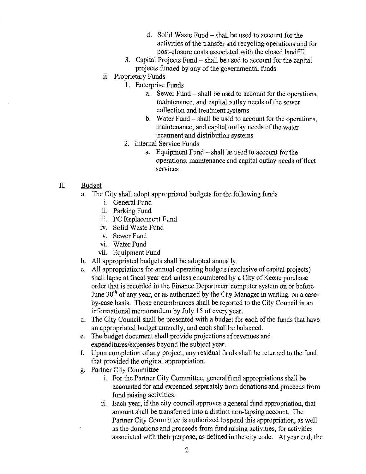- d. Solid Waste Fund- shall be used to account for the activities of the transfer and recycling operations and for post-closure costs associated with the closed landfill
- 3. Capital Projects Fund- shall be used to account for the capital projects funded by any of the governmental funds
- ii. Proprietary Funds
	- I. Enterprise Funds
		- a. Sewer Fund shall be used to account for the operations, maintenance, and capital outlay needs of the sewer collection and treatment systems
		- b. Water Fund- shall be used to account for the operations, maintenance, and capital outlay needs of the water treatment and distribution systems
		- 2. Internal Service Funds
			- a. Equipment Fund shall be used to account for the operations, maintenance and capital outlay needs of fleet services
- II. Budget
	- a. The City shall adopt appropriated budgets for the following funds
		- 1. General Fund
		- ii. Parking Fund
		- iii. PC Replacement Fund
		- iv. Solid Waste Fund
		- v. Sewer Fund
		- vi. Water Fund
		- vii. Equipment Fund
	- b. All appropriated budgets shall be adopted annually.
	- c. All appropriations for annual operating budgets (exclusive of capital projects) shall lapse at fiscal year end unless encumbered by a City of Keene purchase order that is recorded in the Finance Department computer system on or before June  $30<sup>th</sup>$  of any year, or as authorized by the City Manager in writing, on a caseby-case basis. Those encumbrances shall be reported to the City Council in an informational memorandum by July 15 of every year.
	- d. The City Council shall be presented with a budget for each of the funds that have an appropriated budget annually, and each shall be balanced.
	- e. The budget document shall provide projections of revenues and expenditures/expenses beyond the subject year.
	- f. Upon completion of any project, any residual funds shall be returned to the fund that provided the original appropriation.
	- g. Partner City Committee
		- i. For the Partner City Committee, general fund appropriations shall be accounted for and expended separately from donations and proceeds from fund raising activities.
		- ii. Each year, if the city council approves a general fund appropriation, that amount shall be transferred into a distinct non-lapsing account. The Partner City Committee is authorized to spend this appropriation, as well as the donations and proceeds from fund raising activities, for activities associated with their purpose, as defined in the city code. At year end, the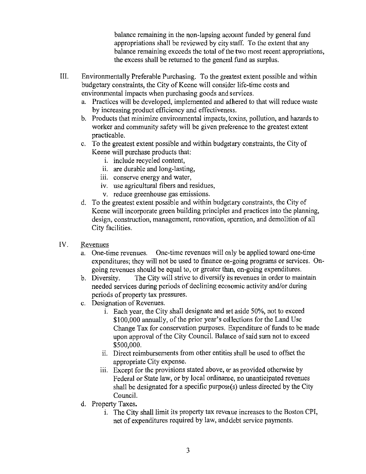balance remaining in the non-lapsing account funded by general fund appropriations shall be reviewed by city staff. To the extent that any balance remaining exceeds the total of the two most recent appropriations, the excess shall be returned to the general fund as surplus.

- III. Environmentally Preferable Purchasing. To the greatest extent possible and within budgetary constraints, the City of Keene will consider life-time costs and environmental impacts when purchasing goods and services.
	- a. Practices will be developed, implemented and adhered to that will reduce waste by increasing product efficiency and effectiveness.
	- b. Products that minimize environmental impacts, toxins, pollution, and hazards to worker and community safety will be given preference to the greatest extent practicable.
	- c. To the greatest extent possible and within budgetary constraints, the City of Keene will purchase products that:
		- 1. include recycled content,
		- ii. are durable and long-lasting,
		- iii. conserve energy and water,
		- 1v. use agricultural fibers and residues,
		- v. reduce greenhouse gas emissions.
	- d. To the greatest extent possible and within budgetary constraints, the City of Keene will incorporate green building principles and practices into the planning, design, construction, management, renovation, operation, and demolition of all City facilities.
- IV. Revenues
	- a. One-time revenues. One-time revenues will only be applied toward one-time expenditures; they will not be used to finance on-going programs or services. Ongoing revenues should be equal to, or greater than, on-going expenditures.
	- b. Diversity. The City will strive to diversify its revenues in order to maintain needed services during periods of declining economic activity and/or during periods of property tax pressures.
	- c. Designation of Revenues.
		- 1. Each year, the City shall designate and set aside 50%, not to exceed \$100,000 annually, of the prior year's collections for the Land Use Change Tax for conservation purposes. Expenditure of funds to be made upon approval of the City Council. Balance of said sum not to exceed \$500,000.
		- ii. Direct reimbursements from other entities shall be used to offset the appropriate City expense.
		- iii. Except for the provisions stated above, or as provided otherwise by Federal or State law, or by local ordinance, no unanticipated revenues shall be designated for a specific purpose $(s)$  unless directed by the City Council.
	- d. Property Taxes.
		- 1. The City shall limit its property tax reveaue increases to the Boston CPI, net of expenditures required by law, and debt service payments.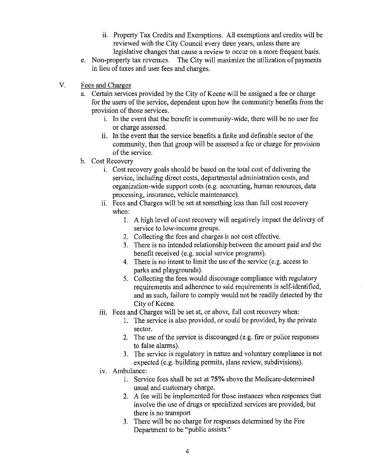- ii. Property Tax Credits and Exemptions. All exemptions and credits will be reviewed with the City Council every three years, unless there are
- legislative changes that cause a review to occur on a more frequent basis.<br>e. Non-property tax revenues. The City will maximize the utilization of payments The City will maximize the utilization of payments. in lieu of taxes and user fees and charges.
- V. Fees and Charges
	- a. Certain services provided by the City of Keene will be assigned a fee or charge for the users of the service, dependent upon how the community benefits from the provision of those services.
		- 1. In the event that the benefit is community-wide, there will be no user fee or charge assessed.
		- 11. In the event that the service benefits a finite and definable sector of the community, then that group will be assessed a fee or charge for provision of the service.
	- b. Cost Recovery
		- 1. Cost recovery goals should be based on the total cost of delivering the service, including direct costs, departmental administration costs, and organization-wide support costs (e.g. accounting, human resources, data processing, insurance, vehicle maintenance).
		- i. Fees and Charges will be set at something less than full cost recovery when:
			- I. A high level of cost recovery will negatively impact the delivery of service to low-income groups.
			- 2. Collecting the fees and charges is not cost effective.
			- 3. There is no intended relationship between the amount paid and the benefit received (e.g. social service programs).
			- 4. There is no intent to limit the use of the service (e.g. access to parks and playgrounds).
			- 5. Collecting the fees would discourage compliance with regulatory requirements and adherence to said requirements is self-identified, and as such, failure to comply would not be readily detected by the City of Keene.
		- iii. Fees and Charges will be set at, or above, full cost recovery when:
			- I. The service is also provided, or could be provided, by the private sector.
			- 2. The use of the service is discouraged (e.g. fire or police responses to false alarms).
			- 3. The service is regulatory in nature and voluntary compliance is not expected (e.g. building permits, plans review, subdivisions).
		- IV. Ambulance:
			- I. Service fees shall be set at 75% above the Medicare-determined usual and customary charge.
			- 2. A fee will be implemented for those instances when responses that involve the use of drugs or specialized services are provided, but there is no transport
			- 3. There will be no charge for responses determined by the Fire Department to be "public assists."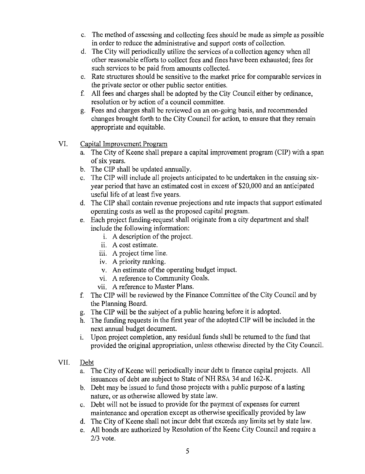- c. The method of assessing and collecting fees should be made as simple as possible in order to reduce the administrative and support costs of collection.
- d. The City will periodically utilize the services of a collection agency when all other reasonable efforts to collect fees and fines have been exhausted; fees for such services to be paid from amounts collected.
- e. Rate structures should be sensitive to the market price for comparable services in the private sector or other public sector entities.
- f. All fees and charges shall be adopted by the City Council either by ordinance, resolution or by action of a council committee.
- g. Fees and charges shall be reviewed on an on-going basis, and recommended changes brought forth to the City Council for action, to ensure that they remain appropriate and equitable.
- VI. Capital Improvement Program
	- a. The City of Keene shall prepare a capital improvement program (CIP) with a span of six years.
	- b. The CIP shall be updated annually.
	- c. The CIP will include all projects anticipated to be undertaken in the ensuing sixyear period that have an estimated cost in excess of \$20,000 and an anticipated useful life of at least five years.
	- d. The CIP shall contain revenue projections and rate impacts that support estimated operating costs as well as the proposed capital program.
	- e. Each project funding-request shall originate from a city department and shall include the following information:
		- 1. A description of the project.
		- ii. A cost estimate.
		- iii. A project time line.
		- iv. A priority ranking.
		- v. An estimate of the operating budget impact.
		- vi. A reference to Community Goals.
		- vii. A reference to Master Plans.
	- f. The CIP will be reviewed by the Finance Committee of the City Council and by the Planning Board.
	- g. The CIP will be the subject of a public hearing before it is adopted.
	- h. The funding requests in the first year of the adopted CIP will be included in the next annual budget document.
	- 1. Upon project completion, any residual funds shall be returned to the fund that provided the original appropriation, unless otherwise directed by the City Council.
- VII. Debt
	- a. The City of Keene will periodically incur debt to finance capital projects. All issuances of debt are subject to State of NH RSA 34 and 162-K.
	- b. Debt may be issued to fund those projects with a public purpose of a lasting nature, or as otherwise allowed by state law.
	- c. Debt will not be issued to provide for the payment of expenses for current maintenance and operation except as otherwise specifically provided by law
	- d. The City of Keene shall not incur debt that exceeds any limits set by state law.
	- e. All bonds are authorized by Resolution of the Keene City Council and require a 2/3 vote.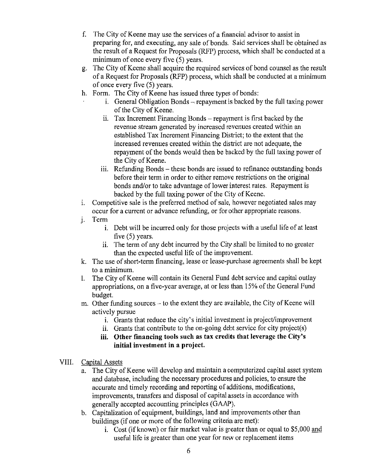- f. The City of Keene may use the services of a financial advisor to assist in preparing for, and executing, any sale of bonds. Said services shall be obtained as the result of a Request for Proposals (RFP) process, which shall be conducted at a minimum of once every five (5) years.
- g. The City of Keene shall acquire the required services of bond counsel as the result of a Request for Proposals (RFP) process, which shall be conducted at a minimum of once every five (5) years.
- h. Form. The City of Keene has issued three types of bonds:
	- $1.$  General Obligation Bonds  $-$  repayment is backed by the full taxing power of the City of Keene.
		- $11.$  Tax Increment Financing Bonds repayment is first backed by the revenue stream generated by increased revenues created within an established Tax Increment Financing District; to the extent that the increased revenues created within the district are not adequate, the repayment of the bonds would then be backed by the full taxing power of the City of Keene.
		- iii. Refunding Bonds these bonds are issued to refinance outstanding bonds before their term in order to either remove restrictions on the original bonds and/or to take advantage of lower interest rates. Repayment is backed by the full taxing power of the City of Keene.
- 1. Competitive sale is the preferred method of sale, however negotiated sales may occur for a current or advance refunding, or for other appropriate reasons.
- i. Term
	- i. Debt will be incurred only for those projects with a useful life of at least five (5) years.
	- ii. The term of any debt incurred by the City shall be limited to no greater than the expected useful life of the improvement.
- k. The use of short-term financing, lease or lease-purchase agreements shall be kept to a minimum.
- I. The City of Keene will contain its General Fund debt service and capital outlay appropriations, on a five-year average, at or less than 15% of the General Fund budget.
- m. Other funding sources to the extent they are available, the City of Keene will actively pursue
	- i. Grants that reduce the city's initial investment in project/improvement
	- ii. Grants that contribute to the on-going debt service for city project(s)
	- **iii. Other financing tools such as tax credits that leverage the City's initial investment in a project.**
- VIII. Capital Assets
	- a. The City of Keene will develop and maintain a computerized capital asset system and database, including the necessary procedures and policies, to ensure the accurate and timely recording and reporting of additions, modifications, improvements, transfers and disposal of capital assets in accordance with generally accepted accounting principles (GAA?).
	- b. Capitalization of equipment, buildings, land and improvements other than buildings (if one or more of the following criteria are met):
		- 1. Cost (if known) or fair market value is greater than or equal to \$5,000 and useful life is greater than one year for new or replacement items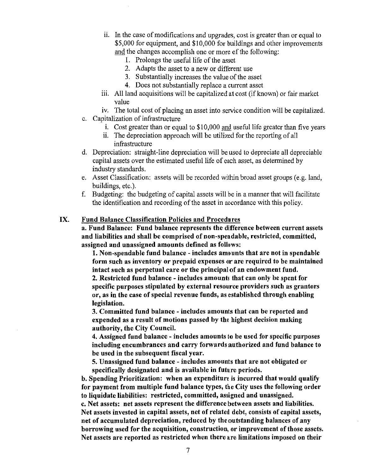- ii. In the case of modifications and upgrades, cost is greater than or equal to \$5,000 for equipment, and \$10,000 for buildings and other improvements and the changes accomplish one or more of the following:
	- I. Prolongs the useful life of the asset
	- 2. Adapts the asset to a new or different use
	- 3. Substantially increases the value of the asset
	- 4. Does not substantially replace a current asset
- iii. All land acquisitions will be capitalized at cost (if known) or fair market value
- iv. The total cost of placing an asset into service condition will be capitalized.
- c. Capitalization of infrastructure
	- i. Cost greater than or equal to \$10,000 and useful life greater than five years
	- ii. The depreciation approach will be utilized for the reporting of all infrastructure
- d. Depreciation: straight-line depreciation will be used to depreciate all depreciable capital assets over the estimated useful life of each asset, as determined by industry standards.
- e. Asset Classification: assets will be recorded within broad asset groups (e.g. land, buildings, etc.).
- f. Budgeting: the budgeting of capital assets will be in a manner that will facilitate the identification and recording of the asset in accordance with this policy.

## IX. Fund Balance Classification Policies and Procedures

a. Fund Balance: Fund balance represents the difference between current assets and liabilities and shall be comprised of non-spendable, restricted, committed, assigned and unassigned amounts defined as follows:

1. Non-spendable fund balance- includes amounts that are not in spendable form such as inventory or prepaid expenses or are required to be maintained intact such as perpetual care or the principal of an endowment fund.

2. Restricted fund balance- includes amounts that can only be spent for specific purposes stipulated by external resource providers such as grantors or, as in the case of special revenue funds, as established through enabling legislation.

3. Committed fund balance - includes amounts that can be reported and expended as a result of motions passed by the highest decision making authority, the City Council.

4. Assigned fund balance - includes amounts to be used for specific purposes including encumbrances and carry forwards authorized and fund balance to be used in the subsequent fiscal year.

5. Unassigned fund balance - includes amounts that are not obligated or specifically designated and is available in future periods.

b. Spending Prioritization: when an expenditure is incurred that would qualify for payment from multiple fund balance types, the City uses the following order to liquidate liabilities: restricted, committed, assigned and unassigned. c. Net assets: net assets represent the difference between assets and liabilities. Net assets invested in capital assets, net of related debt, consists of capital assets,

net of accumulated depreciation, reduced by the outstanding balances of any borrowing used for the acquisition, construction, or improvement of those assets. Net assets are reported as restricted when there are limitations imposed on their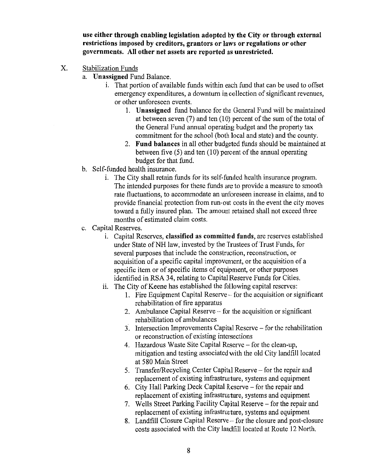**use either through enabling legislation adopted by the City or through external restrictions imposed by creditors, grantors or laws or regulations or other governments. All other net assets are reported as unrestricted.** 

- X. Stabilization Funds
	- a. **Unassigned** Fund Balance.
		- 1. That portion of available funds within each fund that can be used to offset emergency expenditures, a downturn in collection of significant revenues, or other unforeseen events.
			- 1. **Unassigned** fund balance for the General Fund will be maintained at between seven (7) and ten (10) percent of the sum of the total of the General Fund annual operating budget and the property tax commitment for the school (both local and state) and the county.
			- 2. **Fund balances** in all other budgeted funds should be maintained at between five  $(5)$  and ten  $(10)$  percent of the annual operating budget for that fund.
	- b. Self-funded health insurance.
		- 1. The City shall retain funds for its self-funded health insurance program. The intended purposes for these funds are to provide a measure to smooth rate fluctuations, to accommodate an unforeseen increase in claims, and to provide financial protection from run-out costs in the event the city moves toward a fully insured plan. The amount retained shall not exceed three months of estimated claim costs.
	- c. Capital Reserves.
		- 1. Capital Reserves, **classified as committed funds,** are reserves established under State of NH law, invested by the Trustees of Trust Funds, for several purposes that include the construction, reconstruction, or acquisition of a specific capital improvement, or the acquisition of a specific item or of specific items of equipment, or other purposes identified in RSA 34, relating to Capital Reserve Funds for Cities.
		- ii. The City of Keene has established the following capital reserves:
			- 1. Fire Equipment Capital Reserve- for the acquisition or significant rehabilitation of fire apparatus
			- 2. Ambulance Capital Reserve- for the acquisition or significant rehabilitation of ambulances
			- 3. Intersection Improvements Capital Reserve- for the rehabilitation or reconstruction of existing intersections
			- 4. Hazardous Waste Site Capital Reserve- for the clean-up, mitigation and testing associated with the old City landfill located at 580 Main Street
			- 5. Transfer/Recycling Center Capital Reserve for the repair and replacement of existing infrastructure, systems and equipment
			- 6. City Hall Parking Deck Capital Reserve- for the repair and replacement of existing infrastructure, systems and equipment
			- 7. Wells Street Parking Facility Capital Reserve- for the repair and replacement of existing infrastructure, systems and equipment
			- 8. Landfill Closure Capital Reserve- for the closure and post -closure costs associated with the City landfill located at Route 12 North.